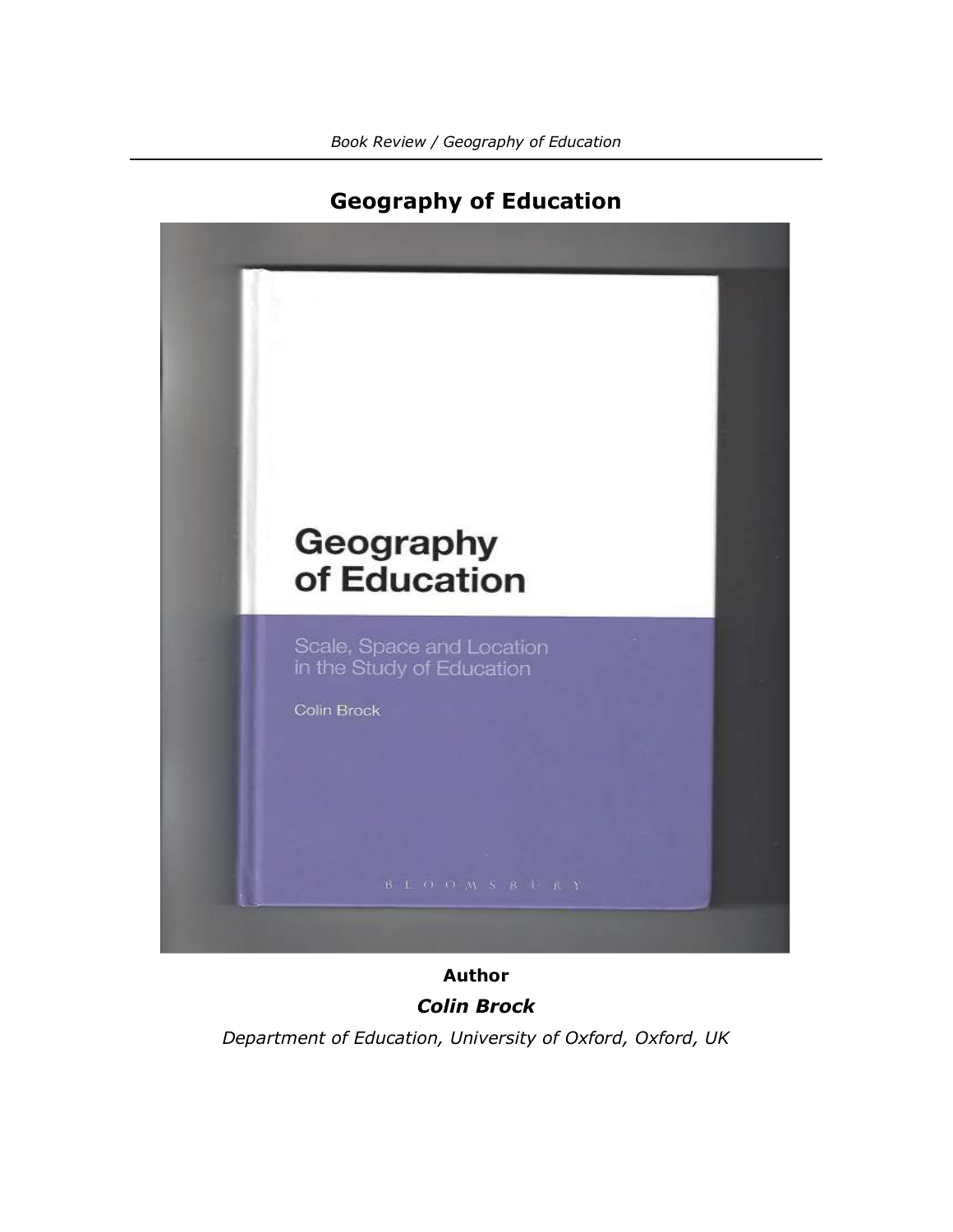

## **Geography of Education**

**Author** *Colin Brock*

*Department of Education, University of Oxford, Oxford, UK*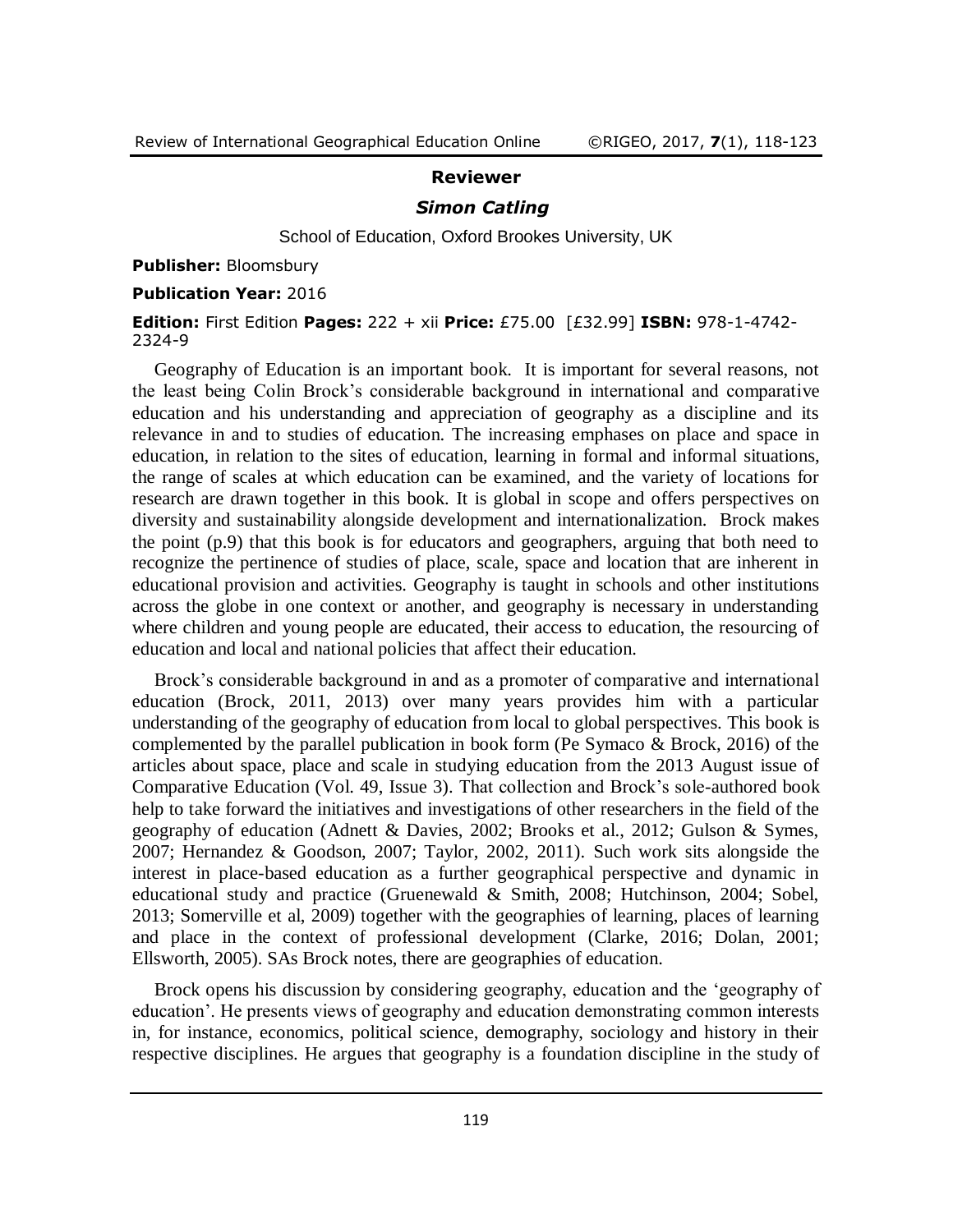## **Reviewer**

## *Simon Catling*

School of Education, Oxford Brookes University, UK

**Publisher:** Bloomsbury

**Publication Year:** 2016

**Edition:** First Edition **Pages:** 222 + xii **Price:** £75.00 [£32.99] **ISBN:** 978-1-4742- 2324-9

Geography of Education is an important book. It is important for several reasons, not the least being Colin Brock's considerable background in international and comparative education and his understanding and appreciation of geography as a discipline and its relevance in and to studies of education. The increasing emphases on place and space in education, in relation to the sites of education, learning in formal and informal situations, the range of scales at which education can be examined, and the variety of locations for research are drawn together in this book. It is global in scope and offers perspectives on diversity and sustainability alongside development and internationalization. Brock makes the point (p.9) that this book is for educators and geographers, arguing that both need to recognize the pertinence of studies of place, scale, space and location that are inherent in educational provision and activities. Geography is taught in schools and other institutions across the globe in one context or another, and geography is necessary in understanding where children and young people are educated, their access to education, the resourcing of education and local and national policies that affect their education.

Brock's considerable background in and as a promoter of comparative and international education (Brock, 2011, 2013) over many years provides him with a particular understanding of the geography of education from local to global perspectives. This book is complemented by the parallel publication in book form (Pe Symaco & Brock, 2016) of the articles about space, place and scale in studying education from the 2013 August issue of Comparative Education (Vol. 49, Issue 3). That collection and Brock's sole-authored book help to take forward the initiatives and investigations of other researchers in the field of the geography of education (Adnett & Davies, 2002; Brooks et al., 2012; Gulson & Symes, 2007; Hernandez & Goodson, 2007; Taylor, 2002, 2011). Such work sits alongside the interest in place-based education as a further geographical perspective and dynamic in educational study and practice (Gruenewald & Smith, 2008; Hutchinson, 2004; Sobel, 2013; Somerville et al, 2009) together with the geographies of learning, places of learning and place in the context of professional development (Clarke, 2016; Dolan, 2001; Ellsworth, 2005). SAs Brock notes, there are geographies of education.

Brock opens his discussion by considering geography, education and the 'geography of education'. He presents views of geography and education demonstrating common interests in, for instance, economics, political science, demography, sociology and history in their respective disciplines. He argues that geography is a foundation discipline in the study of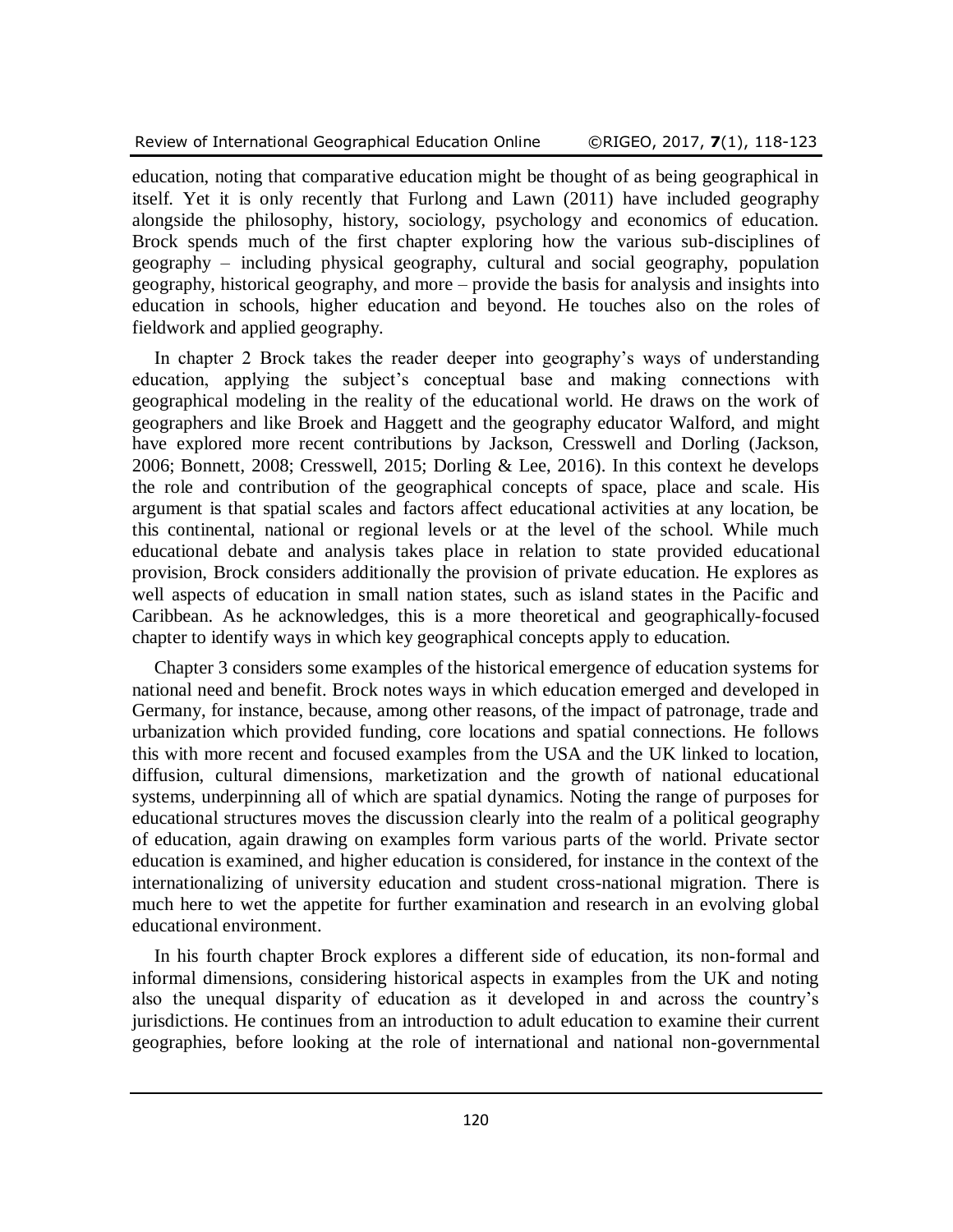education, noting that comparative education might be thought of as being geographical in itself. Yet it is only recently that Furlong and Lawn (2011) have included geography alongside the philosophy, history, sociology, psychology and economics of education. Brock spends much of the first chapter exploring how the various sub-disciplines of geography – including physical geography, cultural and social geography, population geography, historical geography, and more – provide the basis for analysis and insights into education in schools, higher education and beyond. He touches also on the roles of fieldwork and applied geography.

In chapter 2 Brock takes the reader deeper into geography's ways of understanding education, applying the subject's conceptual base and making connections with geographical modeling in the reality of the educational world. He draws on the work of geographers and like Broek and Haggett and the geography educator Walford, and might have explored more recent contributions by Jackson, Cresswell and Dorling (Jackson, 2006; Bonnett, 2008; Cresswell, 2015; Dorling & Lee, 2016). In this context he develops the role and contribution of the geographical concepts of space, place and scale. His argument is that spatial scales and factors affect educational activities at any location, be this continental, national or regional levels or at the level of the school. While much educational debate and analysis takes place in relation to state provided educational provision, Brock considers additionally the provision of private education. He explores as well aspects of education in small nation states, such as island states in the Pacific and Caribbean. As he acknowledges, this is a more theoretical and geographically-focused chapter to identify ways in which key geographical concepts apply to education.

Chapter 3 considers some examples of the historical emergence of education systems for national need and benefit. Brock notes ways in which education emerged and developed in Germany, for instance, because, among other reasons, of the impact of patronage, trade and urbanization which provided funding, core locations and spatial connections. He follows this with more recent and focused examples from the USA and the UK linked to location, diffusion, cultural dimensions, marketization and the growth of national educational systems, underpinning all of which are spatial dynamics. Noting the range of purposes for educational structures moves the discussion clearly into the realm of a political geography of education, again drawing on examples form various parts of the world. Private sector education is examined, and higher education is considered, for instance in the context of the internationalizing of university education and student cross-national migration. There is much here to wet the appetite for further examination and research in an evolving global educational environment.

In his fourth chapter Brock explores a different side of education, its non-formal and informal dimensions, considering historical aspects in examples from the UK and noting also the unequal disparity of education as it developed in and across the country's jurisdictions. He continues from an introduction to adult education to examine their current geographies, before looking at the role of international and national non-governmental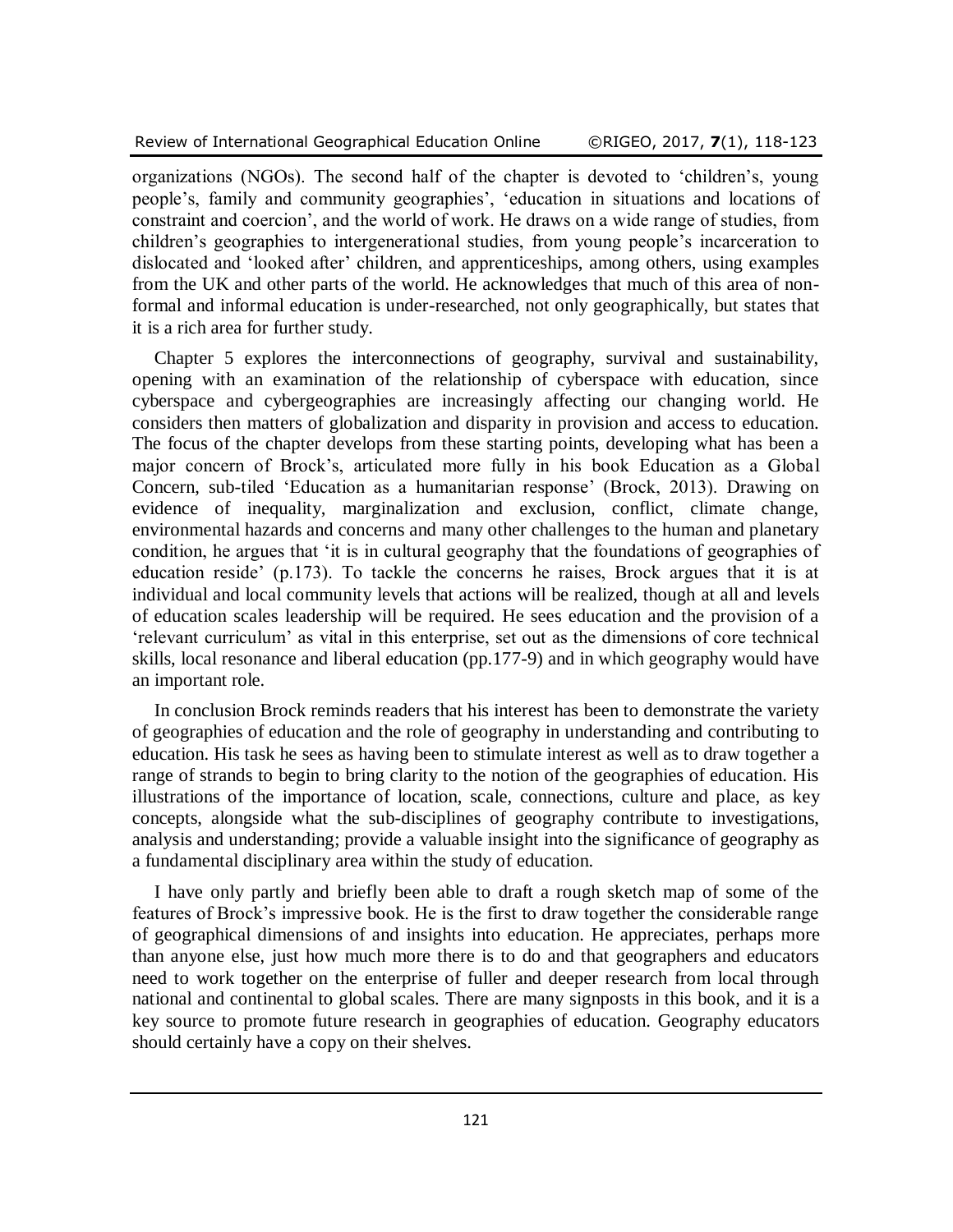organizations (NGOs). The second half of the chapter is devoted to 'children's, young people's, family and community geographies', 'education in situations and locations of constraint and coercion', and the world of work. He draws on a wide range of studies, from children's geographies to intergenerational studies, from young people's incarceration to dislocated and 'looked after' children, and apprenticeships, among others, using examples from the UK and other parts of the world. He acknowledges that much of this area of nonformal and informal education is under-researched, not only geographically, but states that it is a rich area for further study.

Chapter 5 explores the interconnections of geography, survival and sustainability, opening with an examination of the relationship of cyberspace with education, since cyberspace and cybergeographies are increasingly affecting our changing world. He considers then matters of globalization and disparity in provision and access to education. The focus of the chapter develops from these starting points, developing what has been a major concern of Brock's, articulated more fully in his book Education as a Global Concern, sub-tiled 'Education as a humanitarian response' (Brock, 2013). Drawing on evidence of inequality, marginalization and exclusion, conflict, climate change, environmental hazards and concerns and many other challenges to the human and planetary condition, he argues that 'it is in cultural geography that the foundations of geographies of education reside' (p.173). To tackle the concerns he raises, Brock argues that it is at individual and local community levels that actions will be realized, though at all and levels of education scales leadership will be required. He sees education and the provision of a 'relevant curriculum' as vital in this enterprise, set out as the dimensions of core technical skills, local resonance and liberal education (pp.177-9) and in which geography would have an important role.

In conclusion Brock reminds readers that his interest has been to demonstrate the variety of geographies of education and the role of geography in understanding and contributing to education. His task he sees as having been to stimulate interest as well as to draw together a range of strands to begin to bring clarity to the notion of the geographies of education. His illustrations of the importance of location, scale, connections, culture and place, as key concepts, alongside what the sub-disciplines of geography contribute to investigations, analysis and understanding; provide a valuable insight into the significance of geography as a fundamental disciplinary area within the study of education.

I have only partly and briefly been able to draft a rough sketch map of some of the features of Brock's impressive book. He is the first to draw together the considerable range of geographical dimensions of and insights into education. He appreciates, perhaps more than anyone else, just how much more there is to do and that geographers and educators need to work together on the enterprise of fuller and deeper research from local through national and continental to global scales. There are many signposts in this book, and it is a key source to promote future research in geographies of education. Geography educators should certainly have a copy on their shelves.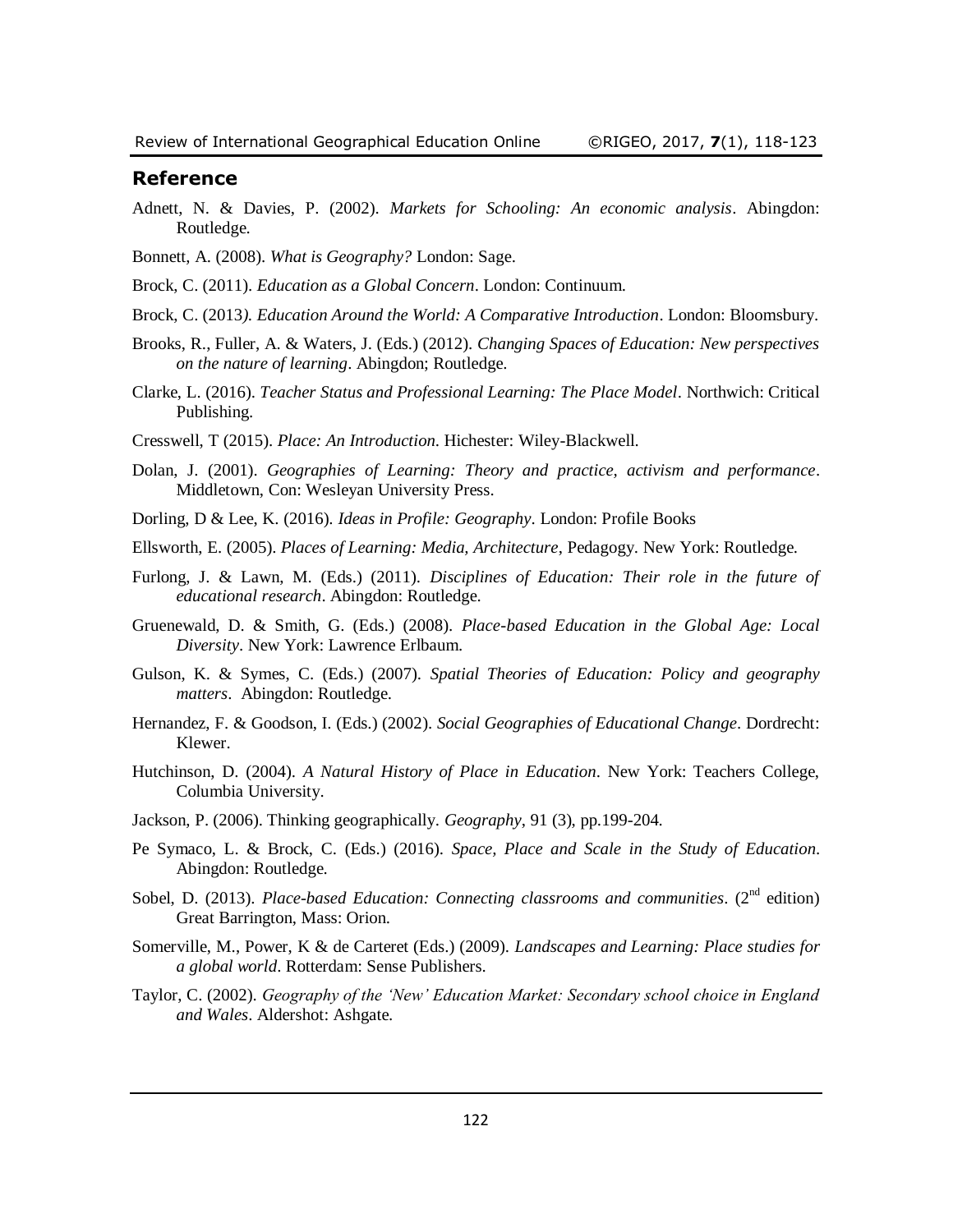## **Reference**

- Adnett, N. & Davies, P. (2002). *Markets for Schooling: An economic analysis*. Abingdon: Routledge.
- Bonnett, A. (2008). *What is Geography?* London: Sage.
- Brock, C. (2011). *Education as a Global Concern*. London: Continuum.
- Brock, C. (2013*). Education Around the World: A Comparative Introduction*. London: Bloomsbury.
- Brooks, R., Fuller, A. & Waters, J. (Eds.) (2012). *Changing Spaces of Education: New perspectives on the nature of learning*. Abingdon; Routledge.
- Clarke, L. (2016). *Teacher Status and Professional Learning: The Place Model*. Northwich: Critical Publishing.
- Cresswell, T (2015). *Place: An Introduction*. Hichester: Wiley-Blackwell.
- Dolan, J. (2001). *Geographies of Learning: Theory and practice, activism and performance*. Middletown, Con: Wesleyan University Press.
- Dorling, D & Lee, K. (2016). *Ideas in Profile: Geography*. London: Profile Books
- Ellsworth, E. (2005). *Places of Learning: Media, Architecture*, Pedagogy. New York: Routledge.
- Furlong, J. & Lawn, M. (Eds.) (2011). *Disciplines of Education: Their role in the future of educational research*. Abingdon: Routledge.
- Gruenewald, D. & Smith, G. (Eds.) (2008). *Place-based Education in the Global Age: Local Diversity*. New York: Lawrence Erlbaum.
- Gulson, K. & Symes, C. (Eds.) (2007). *Spatial Theories of Education: Policy and geography matters*. Abingdon: Routledge.
- Hernandez, F. & Goodson, I. (Eds.) (2002). *Social Geographies of Educational Change*. Dordrecht: Klewer.
- Hutchinson, D. (2004). *A Natural History of Place in Education*. New York: Teachers College, Columbia University.
- Jackson, P. (2006). Thinking geographically. *Geography*, 91 (3), pp.199-204.
- Pe Symaco, L. & Brock, C. (Eds.) (2016). *Space, Place and Scale in the Study of Education*. Abingdon: Routledge.
- Sobel, D. (2013). *Place-based Education: Connecting classrooms and communities*. (2<sup>nd</sup> edition) Great Barrington, Mass: Orion.
- Somerville, M., Power, K & de Carteret (Eds.) (2009). *Landscapes and Learning: Place studies for a global world*. Rotterdam: Sense Publishers.
- Taylor, C. (2002). *Geography of the 'New' Education Market: Secondary school choice in England and Wales*. Aldershot: Ashgate.